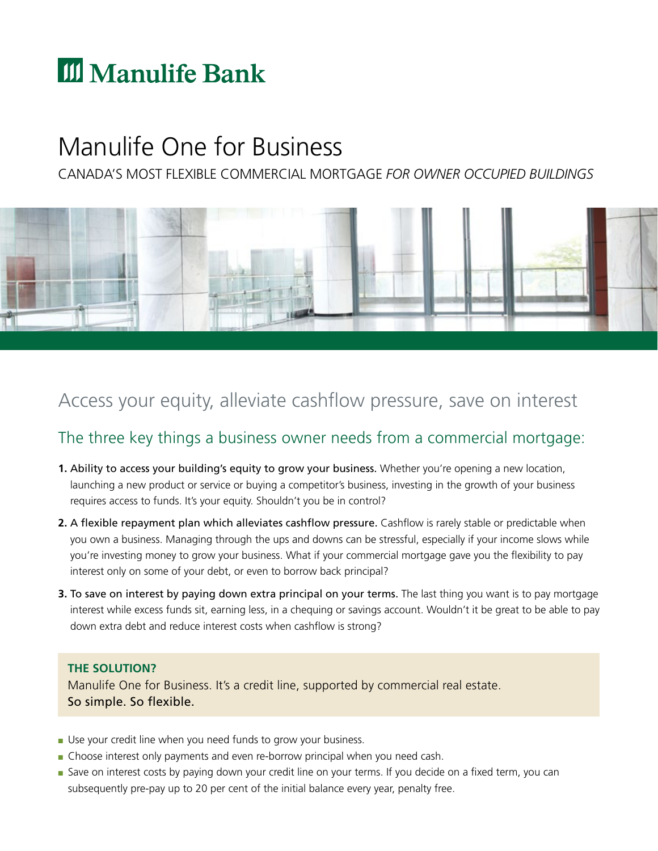# **III** Manulife Bank

## Manulife One for Business

CANADA'S MOST FLEXIBLE COMMERCIAL MORTGAGE *FOR OWNER OCCUPIED BUILDINGS* 



## Access your equity, alleviate cashflow pressure, save on interest

### The three key things a business owner needs from a commercial mortgage:

- **1.** Ability to access your building's equity to grow your business. Whether you're opening a new location, launching a new product or service or buying a competitor's business, investing in the growth of your business requires access to funds. It's your equity. Shouldn't you be in control?
- **2.** A flexible repayment plan which alleviates cashflow pressure. Cashflow is rarely stable or predictable when you own a business. Managing through the ups and downs can be stressful, especially if your income slows while you're investing money to grow your business. What if your commercial mortgage gave you the fexibility to pay interest only on some of your debt, or even to borrow back principal?
- **3.** To save on interest by paying down extra principal on your terms. The last thing you want is to pay mortgage interest while excess funds sit, earning less, in a chequing or savings account. Wouldn't it be great to be able to pay down extra debt and reduce interest costs when cashflow is strong?

#### **THE SOLUTION?**

Manulife One for Business. It's a credit line, supported by commercial real estate. So simple. So flexible.

- Use your credit line when you need funds to grow your business.
- Choose interest only payments and even re-borrow principal when you need cash.
- Save on interest costs by paying down your credit line on your terms. If you decide on a fixed term, you can subsequently pre-pay up to 20 per cent of the initial balance every year, penalty free.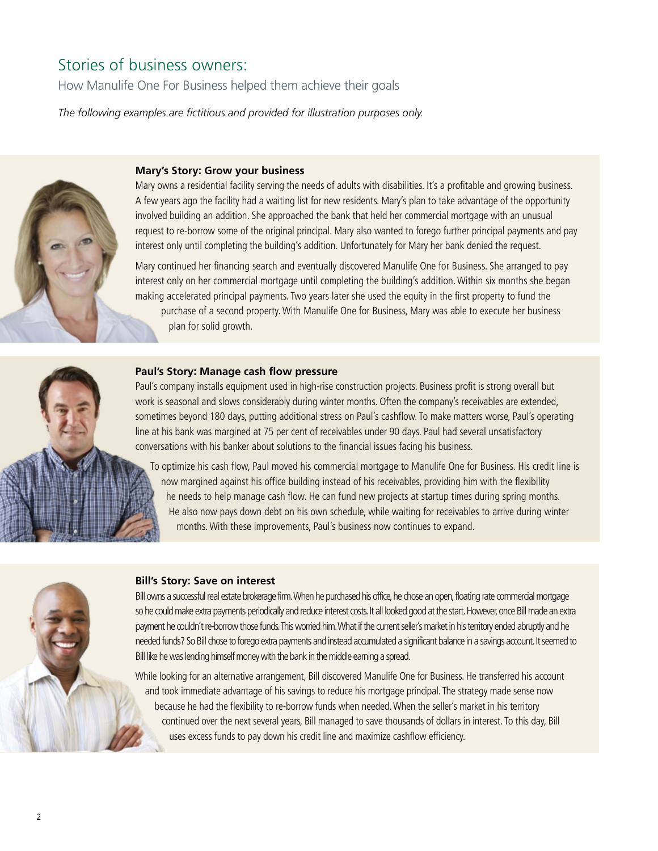### Stories of business owners:

How Manulife One For Business helped them achieve their goals

The following examples are fictitious and provided for illustration purposes only.



#### **Mary's Story: Grow your business**

Mary owns a residential facility serving the needs of adults with disabilities. It's a proftable and growing business. A few years ago the facility had a waiting list for new residents. Mary's plan to take advantage of the opportunity involved building an addition. She approached the bank that held her commercial mortgage with an unusual request to re-borrow some of the original principal. Mary also wanted to forego further principal payments and pay interest only until completing the building's addition. Unfortunately for Mary her bank denied the request.

Mary continued her fnancing search and eventually discovered Manulife One for Business. She arranged to pay interest only on her commercial mortgage until completing the building's addition. Within six months she began making accelerated principal payments. Two years later she used the equity in the first property to fund the purchase of a second property. With Manulife One for Business, Mary was able to execute her business plan for solid growth.



#### **Paul's Story: Manage cash flow pressure**

Paul's company installs equipment used in high-rise construction projects. Business proft is strong overall but work is seasonal and slows considerably during winter months. Often the company's receivables are extended, sometimes beyond 180 days, putting additional stress on Paul's cashflow. To make matters worse, Paul's operating line at his bank was margined at 75 per cent of receivables under 90 days. Paul had several unsatisfactory conversations with his banker about solutions to the fnancial issues facing his business.

he needs to help manage cash flow. He can fund new projects at startup times during spring months. To optimize his cash flow, Paul moved his commercial mortgage to Manulife One for Business. His credit line is now margined against his office building instead of his receivables, providing him with the flexibility He also now pays down debt on his own schedule, while waiting for receivables to arrive during winter months. With these improvements, Paul's business now continues to expand.



#### **Bill's Story: Save on interest**

Bill owns a successful real estate brokerage firm.When he purchased his office, he chose an open, floating rate commercial mortgage so he could make extra payments periodically and reduce interest costs. It all looked good at the start. However, once Bill made an extra payment he couldn't re-borrow those funds.This worried him.What if the current seller's market in his territory ended abruptly and he needed funds? So Bill chose to forego extra payments and instead accumulated a significant balance in a savings account. It seemed to Bill like he was lending himself money with the bank in the middle earning a spread.

While looking for an alternative arrangement, Bill discovered Manulife One for Business. He transferred his account and took immediate advantage of his savings to reduce his mortgage principal. The strategy made sense now because he had the fexibility to re-borrow funds when needed. When the seller's market in his territory continued over the next several years, Bill managed to save thousands of dollars in interest. To this day, Bill uses excess funds to pay down his credit line and maximize cashflow efficiency.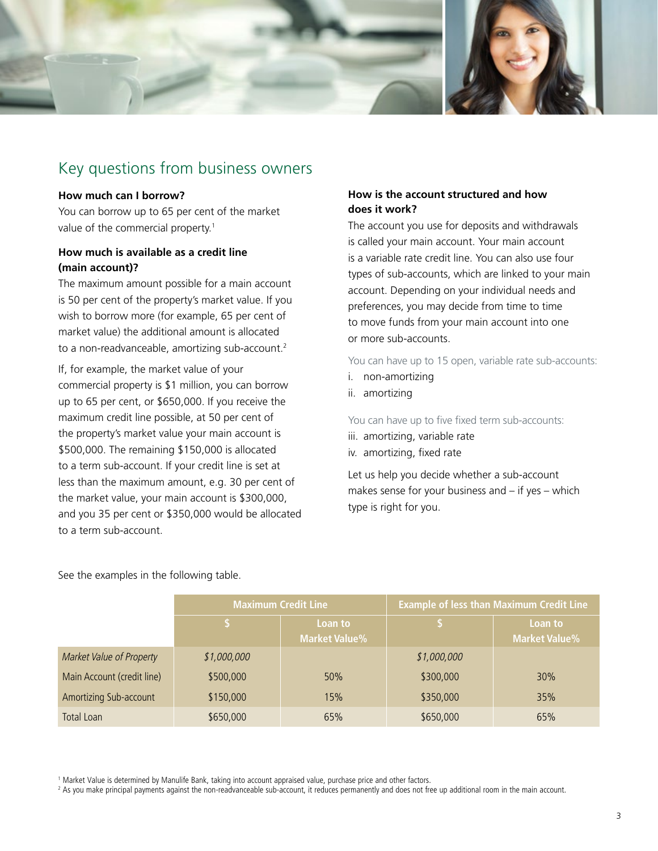

### Key questions from business owners

#### **How much can I borrow?**

You can borrow up to 65 per cent of the market value of the commercial property.<sup>1</sup>

#### **How much is available as a credit line (main account)?**

The maximum amount possible for a main account is 50 per cent of the property's market value. If you wish to borrow more (for example, 65 per cent of market value) the additional amount is allocated to a non-readvanceable, amortizing sub-account.<sup>2</sup>

If, for example, the market value of your commercial property is \$1 million, you can borrow up to 65 per cent, or \$650,000. If you receive the maximum credit line possible, at 50 per cent of the property's market value your main account is \$500,000. The remaining \$150,000 is allocated to a term sub-account. If your credit line is set at less than the maximum amount, e.g. 30 per cent of the market value, your main account is \$300,000, and you 35 per cent or \$350,000 would be allocated to a term sub-account.

#### **How is the account structured and how does it work?**

The account you use for deposits and withdrawals is called your main account. Your main account is a variable rate credit line. You can also use four types of sub-accounts, which are linked to your main account. Depending on your individual needs and preferences, you may decide from time to time to move funds from your main account into one or more sub-accounts.

You can have up to 15 open, variable rate sub-accounts:

- i. non-amortizing
- ii. amortizing

You can have up to five fixed term sub-accounts:

- iii. amortizing, variable rate
- iv. amortizing, fixed rate

Let us help you decide whether a sub-account makes sense for your business and – if yes – which type is right for you.

See the examples in the following table.

|                            | <b>Maximum Credit Line</b> |                                 | <b>Example of less than Maximum Credit Line</b> |                                 |
|----------------------------|----------------------------|---------------------------------|-------------------------------------------------|---------------------------------|
|                            | S                          | Loan to<br><b>Market Value%</b> |                                                 | Loan to<br><b>Market Value%</b> |
| Market Value of Property   | \$1,000,000                |                                 | \$1,000,000                                     |                                 |
| Main Account (credit line) | \$500,000                  | 50%                             | \$300,000                                       | 30%                             |
| Amortizing Sub-account     | \$150,000                  | 15%                             | \$350,000                                       | 35%                             |
| Total Loan                 | \$650,000                  | 65%                             | \$650,000                                       | 65%                             |

1 Market Value is determined by Manulife Bank, taking into account appraised value, purchase price and other factors.

2 As you make principal payments against the non-readvanceable sub-account, it reduces permanently and does not free up additional room in the main account.